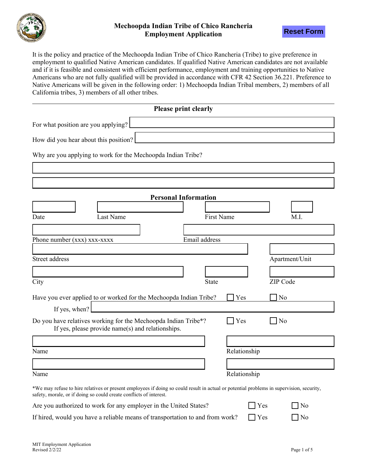



It is the policy and practice of the Mechoopda Indian Tribe of Chico Rancheria (Tribe) to give preference in employment to qualified Native American candidates. If qualified Native American candidates are not available and if it is feasible and consistent with efficient performance, employment and training opportunities to Native Americans who are not fully qualified will be provided in accordance with CFR 42 Section 36.221. Preference to Native Americans will be given in the following order: 1) Mechoopda Indian Tribal members, 2) members of all California tribes, 3) members of all other tribes.

|                                                                                                                                                                                                                | Please print clearly        |              |                |
|----------------------------------------------------------------------------------------------------------------------------------------------------------------------------------------------------------------|-----------------------------|--------------|----------------|
| For what position are you applying?                                                                                                                                                                            |                             |              |                |
|                                                                                                                                                                                                                |                             |              |                |
| How did you hear about this position?                                                                                                                                                                          |                             |              |                |
| Why are you applying to work for the Mechoopda Indian Tribe?                                                                                                                                                   |                             |              |                |
|                                                                                                                                                                                                                |                             |              |                |
|                                                                                                                                                                                                                |                             |              |                |
|                                                                                                                                                                                                                | <b>Personal Information</b> |              |                |
|                                                                                                                                                                                                                |                             |              |                |
| Last Name<br>Date                                                                                                                                                                                              | <b>First Name</b>           |              | M.I.           |
|                                                                                                                                                                                                                |                             |              |                |
| Phone number (xxx) xxx-xxxx                                                                                                                                                                                    | Email address               |              |                |
|                                                                                                                                                                                                                |                             |              |                |
| Street address                                                                                                                                                                                                 |                             |              | Apartment/Unit |
|                                                                                                                                                                                                                |                             |              |                |
| City                                                                                                                                                                                                           | State                       |              | ZIP Code       |
| Have you ever applied to or worked for the Mechoopda Indian Tribe?                                                                                                                                             |                             | Yes          | No             |
| If yes, when?                                                                                                                                                                                                  |                             |              |                |
| Do you have relatives working for the Mechoopda Indian Tribe*?<br>If yes, please provide name(s) and relationships.                                                                                            |                             | Yes          | No             |
|                                                                                                                                                                                                                |                             |              |                |
| Name                                                                                                                                                                                                           |                             | Relationship |                |
|                                                                                                                                                                                                                |                             |              |                |
| Name                                                                                                                                                                                                           |                             | Relationship |                |
| *We may refuse to hire relatives or present employees if doing so could result in actual or potential problems in supervision, security,<br>safety, morale, or if doing so could create conflicts of interest. |                             |              |                |
| Are you authorized to work for any employer in the United States?                                                                                                                                              |                             |              | Yes<br>No      |
| If hired, would you have a reliable means of transportation to and from work?                                                                                                                                  |                             | $\Box$ Yes   | $\Box$ No      |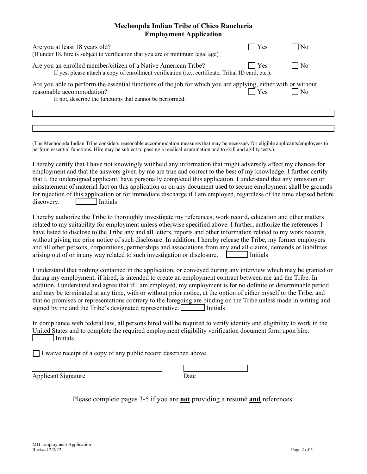| Are you at least 18 years old?<br>(If under 18, hire is subject to verification that you are of minimum legal age)                                                                                     | $\blacksquare$ Yes | l No              |
|--------------------------------------------------------------------------------------------------------------------------------------------------------------------------------------------------------|--------------------|-------------------|
| Are you an enrolled member/citizen of a Native American Tribe?<br>If yes, please attach a copy of enrollment verification (i.e., certificate, Tribal ID card, etc.).                                   | $\blacksquare$ Yes | $\blacksquare$ No |
| Are you able to perform the essential functions of the job for which you are applying, either with or without<br>reasonable accommodation?<br>If not, describe the functions that cannot be performed: | $\exists$ Yes      | $1$ No            |
|                                                                                                                                                                                                        |                    |                   |
|                                                                                                                                                                                                        |                    |                   |

(The Mechoopda Indian Tribe considers reasonable accommodation measures that may be necessary for eligible applicants/employees to perform essential functions. Hire may be subject to passing a medical examination and to skill and agility tests.)

I hereby certify that I have not knowingly withheld any information that might adversely affect my chances for employment and that the answers given by me are true and correct to the best of my knowledge. I further certify that I, the undersigned applicant, have personally completed this application. I understand that any omission or misstatement of material fact on this application or on any document used to secure employment shall be grounds for rejection of this application or for immediate discharge if I am employed, regardless of the time elapsed before discovery. Initials

I hereby authorize the Tribe to thoroughly investigate my references, work record, education and other matters related to my suitability for employment unless otherwise specified above. I further, authorize the references I have listed to disclose to the Tribe any and all letters, reports and other information related to my work records, without giving me prior notice of such disclosure. In addition, I hereby release the Tribe, my former employers and all other persons, corporations, partnerships and associations from any and all claims, demands or liabilities arising out of or in any way related to such investigation or disclosure.  $\Box$  Initials

I understand that nothing contained in the application, or conveyed during any interview which may be granted or during my employment, if hired, is intended to create an employment contract between me and the Tribe. In addition, I understand and agree that if I am employed, my employment is for no definite or determinable period and may be terminated at any time, with or without prior notice, at the option of either myself or the Tribe, and that no promises or representations contrary to the foregoing are binding on the Tribe unless made in writing and signed by me and the Tribe's designated representative. **I** Initials

In compliance with federal law, all persons hired will be required to verify identity and eligibility to work in the United States and to complete the required employment eligibility verification document form upon hire. Initials

 $\Box$  I waive receipt of a copy of any public record described above.

| Applicant Signature | <b>Jate</b> |  |
|---------------------|-------------|--|

Please complete pages 3-5 if you are **not** providing a resumé **and** references.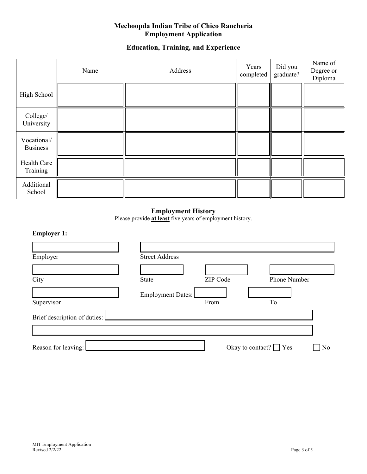# **Education, Training, and Experience**

|                                | Name | Address | Years<br>completed | Did you<br>graduate? | Name of<br>Degree or<br>Diploma |
|--------------------------------|------|---------|--------------------|----------------------|---------------------------------|
| High School                    |      |         |                    |                      |                                 |
| College/<br>University         |      |         |                    |                      |                                 |
| Vocational/<br><b>Business</b> |      |         |                    |                      |                                 |
| Health Care<br>Training        |      |         |                    |                      |                                 |
| Additional<br>School           |      |         |                    |                      |                                 |

# **Employment History**

Please provide **at least** five years of employment history.

# **Employer 1:**

| Employer                     | <b>Street Address</b>    |          |              |
|------------------------------|--------------------------|----------|--------------|
|                              |                          |          |              |
| City                         | <b>State</b>             | ZIP Code | Phone Number |
|                              | <b>Employment Dates:</b> |          |              |
| Supervisor                   |                          | From     | To           |
| Brief description of duties: |                          |          |              |
|                              |                          |          |              |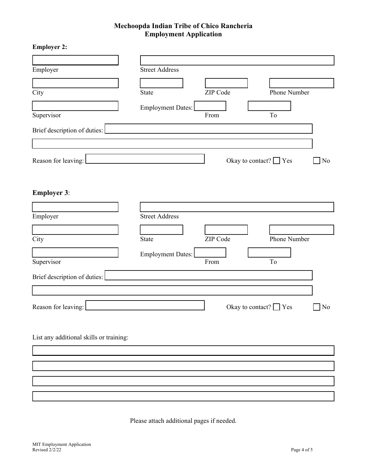| <b>Employer 2:</b>                      |                       |          |                             |                |
|-----------------------------------------|-----------------------|----------|-----------------------------|----------------|
|                                         |                       |          |                             |                |
| Employer                                | <b>Street Address</b> |          |                             |                |
|                                         |                       |          |                             |                |
| City                                    | State                 | ZIP Code | Phone Number                |                |
|                                         | Employment Dates:     |          |                             |                |
| Supervisor                              |                       | From     | To                          |                |
| Brief description of duties:            |                       |          |                             |                |
|                                         |                       |          |                             |                |
|                                         |                       |          |                             |                |
| Reason for leaving:                     |                       |          | Okay to contact? $\Box$ Yes | No             |
|                                         |                       |          |                             |                |
| <b>Employer 3:</b>                      |                       |          |                             |                |
|                                         |                       |          |                             |                |
|                                         | <b>Street Address</b> |          |                             |                |
| Employer                                |                       |          |                             |                |
| City                                    | State                 | ZIP Code | Phone Number                |                |
|                                         |                       |          |                             |                |
| Supervisor                              | Employment Dates:     | From     | $\operatorname{To}$         |                |
|                                         |                       |          |                             |                |
| Brief description of duties:            |                       |          |                             |                |
|                                         |                       |          |                             |                |
| Reason for leaving:                     |                       |          | Okay to contact? $\Box$ Yes | N <sub>o</sub> |
|                                         |                       |          |                             |                |
|                                         |                       |          |                             |                |
| List any additional skills or training: |                       |          |                             |                |
|                                         |                       |          |                             |                |
|                                         |                       |          |                             |                |
|                                         |                       |          |                             |                |
|                                         |                       |          |                             |                |
|                                         |                       |          |                             |                |

Please attach additional pages if needed.